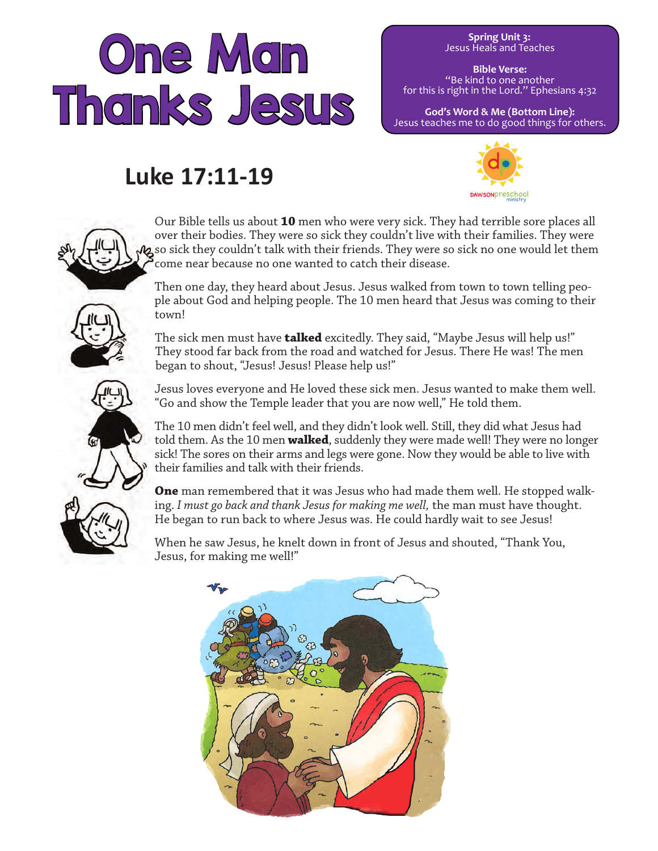

Jesus teaches me to thank God. **Spring Unit 3:** Jesus Heals and Teaches

**Bible Verse:**  "Be kind to one another for this is right in the Lord." Ephesians 4:32

**God's Word & Me (Bottom Line):**  Jesus teaches me to do good things for others.

## Luke 17:11-19 WHAT **do you say when some gives you and in the some gives you will be a present say when it is an interest say with say we have a present say with same of the same of the same of the same of the same of the same of the sa**



Our Bible tells us about **10** men who were very sick. They had terrible sore places all over their bodies. They were so sick they couldn't live with their families. They were 2 so sick they couldn't talk with their friends. They were so sick no one would let them come near because no one wanted to catch their disease.

Then one day, they heard about Jesus. Jesus walked from town to town telling people about God and helping people. The 10 men heard that Jesus was coming to their town!

The sick men must have **talked** excitedly. They said, "Maybe Jesus will help us!" They stood far back from the road and watched for Jesus. There He was! The men began to shout, "Jesus! Jesus! Please help us!"

Jesus loves everyone and He loved these sick men. Jesus wanted to make them well. "Go and show the Temple leader that you are now well," He told them.

The 10 men didn't feel well, and they didn't look well. Still, they did what Jesus had told them. As the 10 men **walked**, suddenly they were made well! They were no longer sick! The sores on their arms and legs were gone. Now they would be able to live with their families and talk with their friends.

**One** man remembered that it was Jesus who had made them well. He stopped walking. *I must go back and thank Jesus for making me well,* the man must have thought. He began to run back to where Jesus was. He could hardly wait to see Jesus!

When he saw Jesus, he knelt down in front of Jesus and shouted, "Thank You, Jesus, for making me well!"



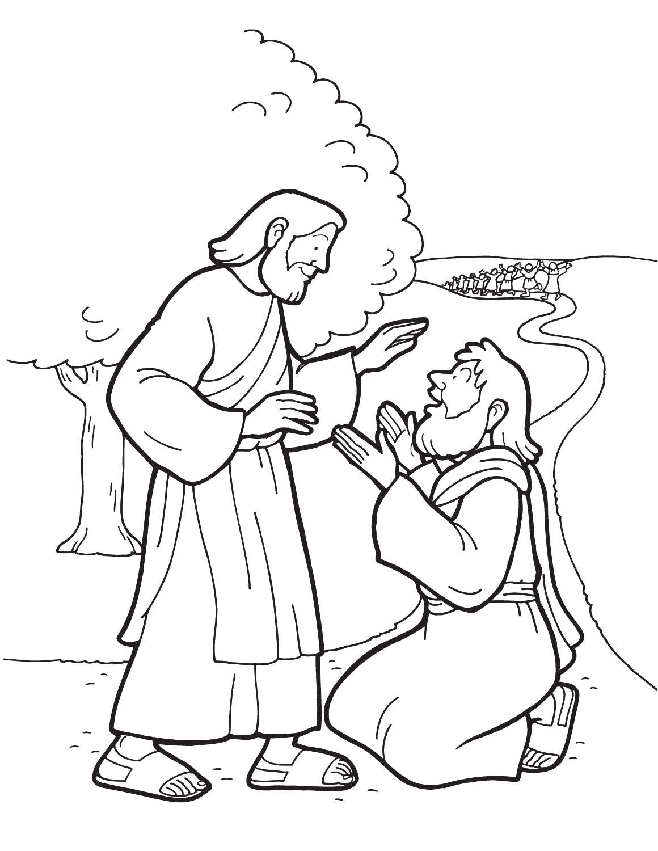